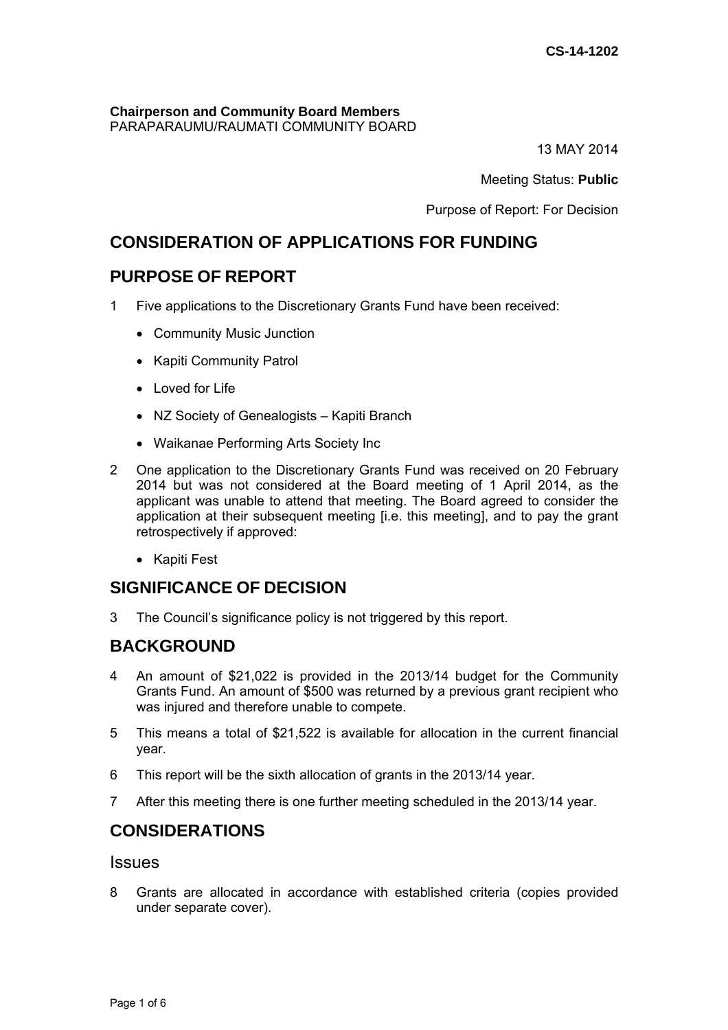**Chairperson and Community Board Members**  PARAPARAUMU/RAUMATI COMMUNITY BOARD

13 MAY 2014

Meeting Status: **Public**

Purpose of Report: For Decision

# **CONSIDERATION OF APPLICATIONS FOR FUNDING**

# **PURPOSE OF REPORT**

- 1 Five applications to the Discretionary Grants Fund have been received:
	- Community Music Junction
	- Kapiti Community Patrol
	- $\bullet$  Loved for Life
	- NZ Society of Genealogists Kapiti Branch
	- Waikanae Performing Arts Society Inc
- 2 One application to the Discretionary Grants Fund was received on 20 February 2014 but was not considered at the Board meeting of 1 April 2014, as the applicant was unable to attend that meeting. The Board agreed to consider the application at their subsequent meeting [i.e. this meeting], and to pay the grant retrospectively if approved:
	- Kapiti Fest

# **SIGNIFICANCE OF DECISION**

3 The Council's significance policy is not triggered by this report.

## **BACKGROUND**

- 4 An amount of \$21,022 is provided in the 2013/14 budget for the Community Grants Fund. An amount of \$500 was returned by a previous grant recipient who was injured and therefore unable to compete.
- 5 This means a total of \$21,522 is available for allocation in the current financial year.
- 6 This report will be the sixth allocation of grants in the 2013/14 year.
- 7 After this meeting there is one further meeting scheduled in the 2013/14 year.

# **CONSIDERATIONS**

## Issues

8 Grants are allocated in accordance with established criteria (copies provided under separate cover).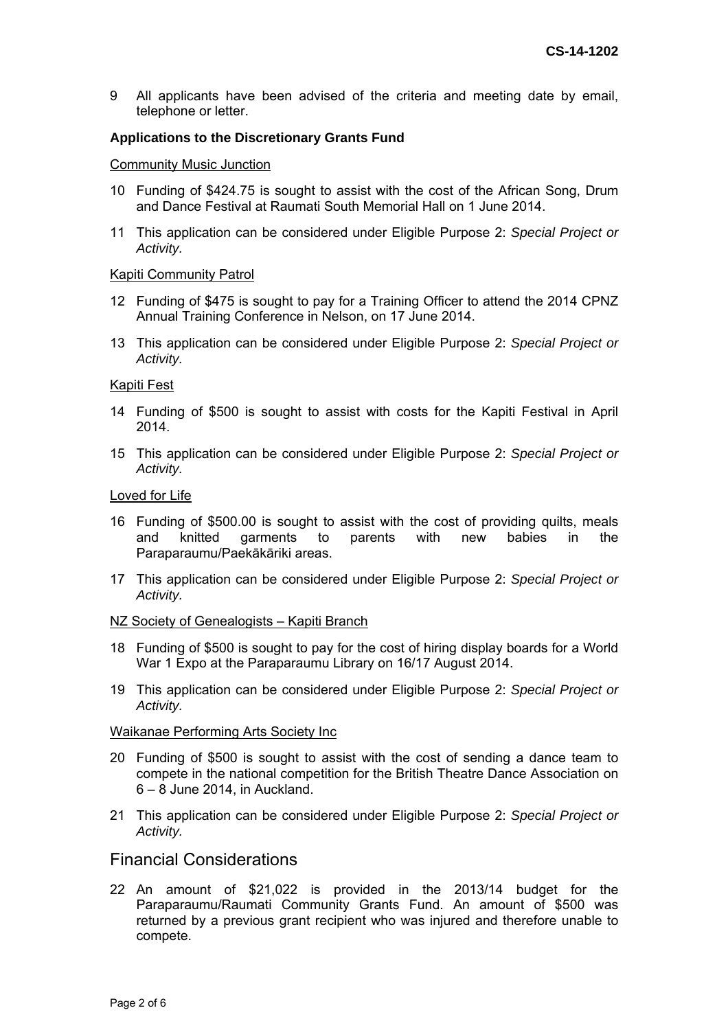9 All applicants have been advised of the criteria and meeting date by email, telephone or letter.

## **Applications to the Discretionary Grants Fund**

#### Community Music Junction

- 10 Funding of \$424.75 is sought to assist with the cost of the African Song, Drum and Dance Festival at Raumati South Memorial Hall on 1 June 2014.
- 11 This application can be considered under Eligible Purpose 2: *Special Project or Activity.*

#### Kapiti Community Patrol

- 12 Funding of \$475 is sought to pay for a Training Officer to attend the 2014 CPNZ Annual Training Conference in Nelson, on 17 June 2014.
- 13 This application can be considered under Eligible Purpose 2: *Special Project or Activity.*

#### Kapiti Fest

- 14 Funding of \$500 is sought to assist with costs for the Kapiti Festival in April 2014.
- 15 This application can be considered under Eligible Purpose 2: *Special Project or Activity.*

### Loved for Life

- 16 Funding of \$500.00 is sought to assist with the cost of providing quilts, meals and knitted garments to parents with new babies in the Paraparaumu/Paekākāriki areas.
- 17 This application can be considered under Eligible Purpose 2: *Special Project or Activity.*

#### NZ Society of Genealogists – Kapiti Branch

- 18 Funding of \$500 is sought to pay for the cost of hiring display boards for a World War 1 Expo at the Paraparaumu Library on 16/17 August 2014.
- 19 This application can be considered under Eligible Purpose 2: *Special Project or Activity.*

#### Waikanae Performing Arts Society Inc

- 20 Funding of \$500 is sought to assist with the cost of sending a dance team to compete in the national competition for the British Theatre Dance Association on 6 – 8 June 2014, in Auckland.
- 21 This application can be considered under Eligible Purpose 2: *Special Project or Activity.*

## Financial Considerations

22 An amount of \$21,022 is provided in the 2013/14 budget for the Paraparaumu/Raumati Community Grants Fund. An amount of \$500 was returned by a previous grant recipient who was injured and therefore unable to compete.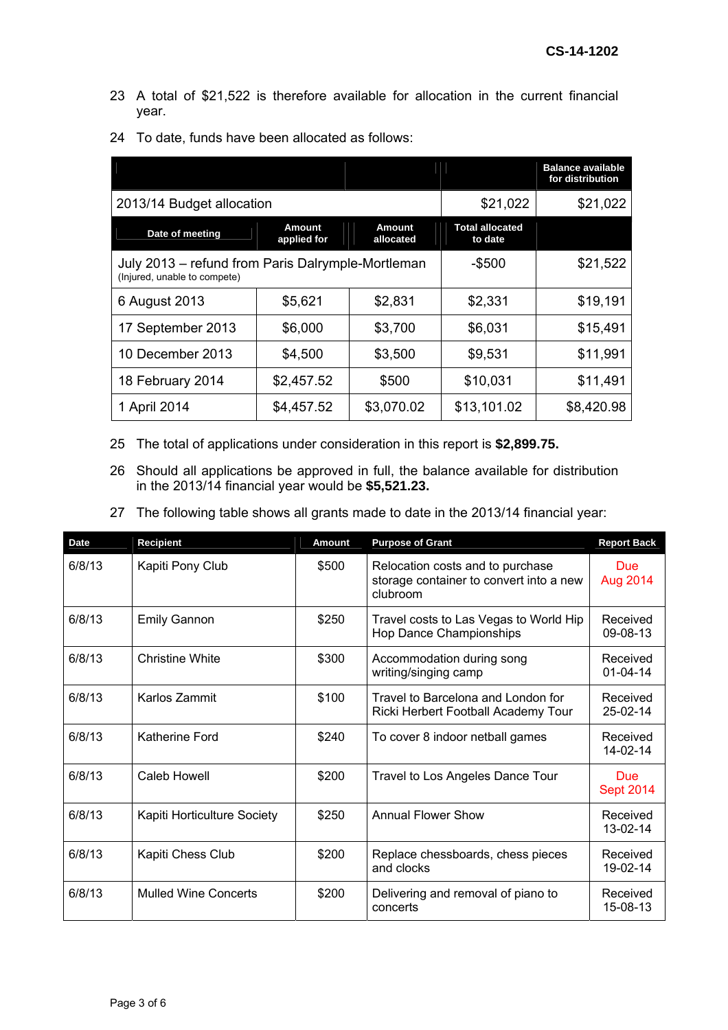- 23 A total of \$21,522 is therefore available for allocation in the current financial year.
- 24 To date, funds have been allocated as follows:

|                                                                                   |                       |                            |                                   | <b>Balance available</b><br>for distribution |
|-----------------------------------------------------------------------------------|-----------------------|----------------------------|-----------------------------------|----------------------------------------------|
| 2013/14 Budget allocation                                                         | \$21,022              | \$21,022                   |                                   |                                              |
| Date of meeting                                                                   | Amount<br>applied for | <b>Amount</b><br>allocated | <b>Total allocated</b><br>to date |                                              |
| July 2013 – refund from Paris Dalrymple-Mortleman<br>(Injured, unable to compete) |                       |                            | $-$ \$500                         | \$21,522                                     |
| 6 August 2013                                                                     | \$5,621               | \$2,831                    | \$2,331                           | \$19,191                                     |
| 17 September 2013                                                                 | \$6,000               | \$3,700                    | \$6,031                           | \$15,491                                     |
| 10 December 2013                                                                  | \$4,500               | \$3,500                    | \$9,531                           | \$11,991                                     |
| 18 February 2014                                                                  | \$2,457.52            | \$500                      | \$10,031                          | \$11,491                                     |
| 1 April 2014                                                                      | \$4,457.52            | \$3,070.02                 | \$13,101.02                       | \$8,420.98                                   |

- 25 The total of applications under consideration in this report is **\$2,899.75.**
- 26 Should all applications be approved in full, the balance available for distribution in the 2013/14 financial year would be **\$5,521.23.**
- 27 The following table shows all grants made to date in the 2013/14 financial year:

| <b>Date</b> | <b>Recipient</b>            | <b>Amount</b> | <b>Purpose of Grant</b>                                                                 | <b>Report Back</b>         |
|-------------|-----------------------------|---------------|-----------------------------------------------------------------------------------------|----------------------------|
| 6/8/13      | Kapiti Pony Club            | \$500         | Relocation costs and to purchase<br>storage container to convert into a new<br>clubroom | Due<br>Aug 2014            |
| 6/8/13      | <b>Emily Gannon</b>         | \$250         | Travel costs to Las Vegas to World Hip<br>Hop Dance Championships                       | Received<br>09-08-13       |
| 6/8/13      | <b>Christine White</b>      | \$300         | Accommodation during song<br>writing/singing camp                                       | Received<br>$01 - 04 - 14$ |
| 6/8/13      | Karlos Zammit               | \$100         | Travel to Barcelona and London for<br>Ricki Herbert Football Academy Tour               | Received<br>$25-02-14$     |
| 6/8/13      | Katherine Ford              | \$240         | To cover 8 indoor netball games                                                         | Received<br>14-02-14       |
| 6/8/13      | Caleb Howell                | \$200         | Travel to Los Angeles Dance Tour                                                        | Due:<br><b>Sept 2014</b>   |
| 6/8/13      | Kapiti Horticulture Society | \$250         | <b>Annual Flower Show</b>                                                               | Received<br>13-02-14       |
| 6/8/13      | Kapiti Chess Club           | \$200         | Replace chessboards, chess pieces<br>and clocks                                         | Received<br>19-02-14       |
| 6/8/13      | <b>Mulled Wine Concerts</b> | \$200         | Delivering and removal of piano to<br>concerts                                          | Received<br>15-08-13       |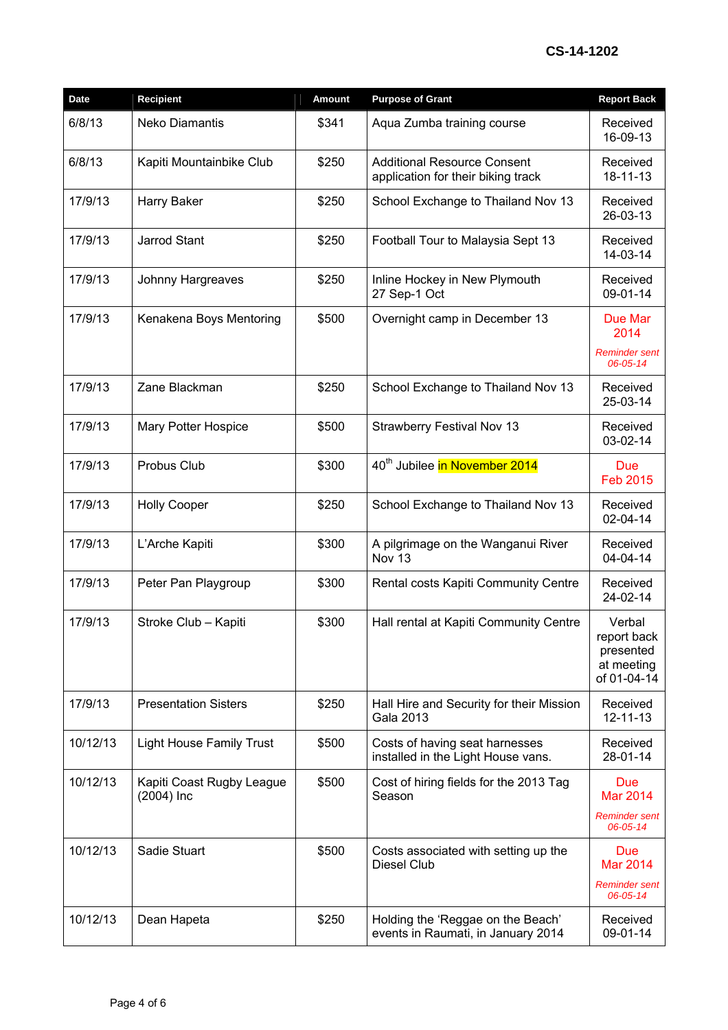# **CS-14-1202**

| Date     | <b>Recipient</b>                          | <b>Amount</b> | <b>Purpose of Grant</b>                                                  | <b>Report Back</b>                                                |
|----------|-------------------------------------------|---------------|--------------------------------------------------------------------------|-------------------------------------------------------------------|
| 6/8/13   | Neko Diamantis                            | \$341         | Aqua Zumba training course                                               | Received<br>16-09-13                                              |
| 6/8/13   | Kapiti Mountainbike Club                  | \$250         | <b>Additional Resource Consent</b><br>application for their biking track | Received<br>18-11-13                                              |
| 17/9/13  | Harry Baker                               | \$250         | School Exchange to Thailand Nov 13                                       | Received<br>26-03-13                                              |
| 17/9/13  | Jarrod Stant                              | \$250         | Football Tour to Malaysia Sept 13                                        | Received<br>14-03-14                                              |
| 17/9/13  | Johnny Hargreaves                         | \$250         | Inline Hockey in New Plymouth<br>27 Sep-1 Oct                            | Received<br>09-01-14                                              |
| 17/9/13  | Kenakena Boys Mentoring                   | \$500         | Overnight camp in December 13                                            | Due Mar<br>2014<br><b>Reminder sent</b>                           |
|          |                                           |               |                                                                          | 06-05-14                                                          |
| 17/9/13  | Zane Blackman                             | \$250         | School Exchange to Thailand Nov 13                                       | Received<br>25-03-14                                              |
| 17/9/13  | <b>Mary Potter Hospice</b>                | \$500         | <b>Strawberry Festival Nov 13</b>                                        | Received<br>03-02-14                                              |
| 17/9/13  | Probus Club                               | \$300         | 40 <sup>th</sup> Jubilee in November 2014                                | <b>Due</b><br><b>Feb 2015</b>                                     |
| 17/9/13  | <b>Holly Cooper</b>                       | \$250         | School Exchange to Thailand Nov 13                                       | Received<br>02-04-14                                              |
| 17/9/13  | L'Arche Kapiti                            | \$300         | A pilgrimage on the Wanganui River<br>Nov 13                             | Received<br>04-04-14                                              |
| 17/9/13  | Peter Pan Playgroup                       | \$300         | Rental costs Kapiti Community Centre                                     | Received<br>24-02-14                                              |
| 17/9/13  | Stroke Club - Kapiti                      | \$300         | Hall rental at Kapiti Community Centre                                   | Verbal<br>report back<br>presented<br>at meeting<br>of 01-04-14   |
| 17/9/13  | <b>Presentation Sisters</b>               | \$250         | Hall Hire and Security for their Mission<br>Gala 2013                    | Received<br>$12 - 11 - 13$                                        |
| 10/12/13 | <b>Light House Family Trust</b>           | \$500         | Costs of having seat harnesses<br>installed in the Light House vans.     | Received<br>28-01-14                                              |
| 10/12/13 | Kapiti Coast Rugby League<br>$(2004)$ Inc | \$500         | Cost of hiring fields for the 2013 Tag<br>Season                         | <b>Due</b><br><b>Mar 2014</b><br><b>Reminder sent</b><br>06-05-14 |
| 10/12/13 | Sadie Stuart                              | \$500         | Costs associated with setting up the<br><b>Diesel Club</b>               | <b>Due</b><br>Mar 2014<br><b>Reminder sent</b><br>06-05-14        |
| 10/12/13 | Dean Hapeta                               | \$250         | Holding the 'Reggae on the Beach'<br>events in Raumati, in January 2014  | Received<br>09-01-14                                              |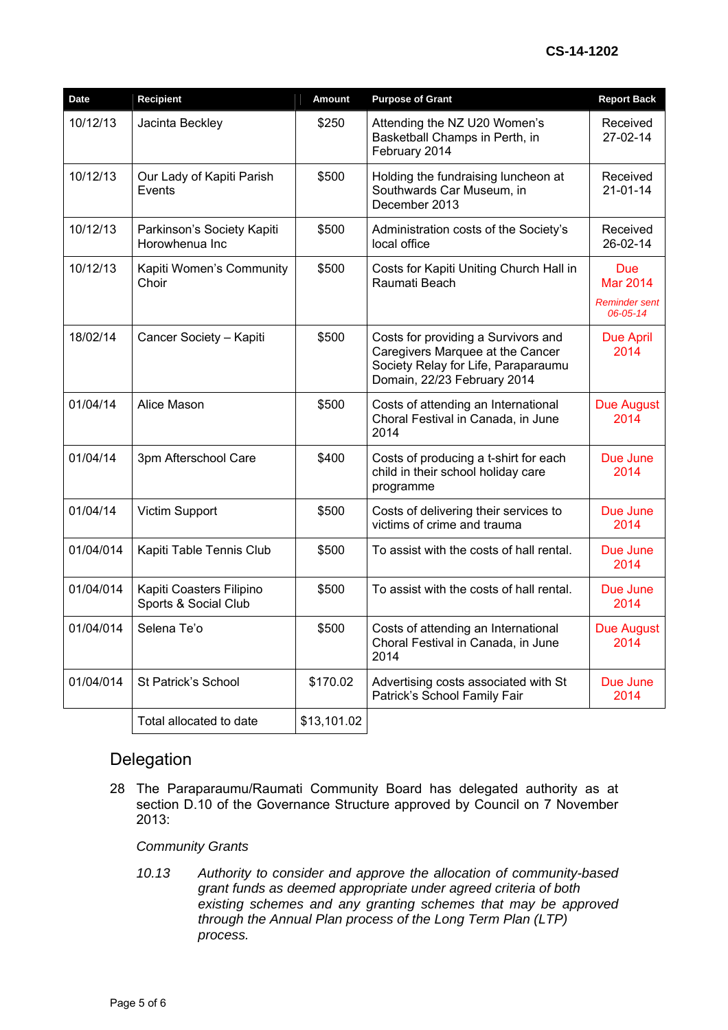| <b>Date</b> | <b>Recipient</b>                                 | <b>Amount</b> | <b>Purpose of Grant</b>                                                                                                                       | <b>Report Back</b>                                         |
|-------------|--------------------------------------------------|---------------|-----------------------------------------------------------------------------------------------------------------------------------------------|------------------------------------------------------------|
| 10/12/13    | Jacinta Beckley                                  | \$250         | Attending the NZ U20 Women's<br>Basketball Champs in Perth, in<br>February 2014                                                               | Received<br>27-02-14                                       |
| 10/12/13    | Our Lady of Kapiti Parish<br>Events              | \$500         | Holding the fundraising luncheon at<br>Southwards Car Museum, in<br>December 2013                                                             | Received<br>$21 - 01 - 14$                                 |
| 10/12/13    | Parkinson's Society Kapiti<br>Horowhenua Inc     | \$500         | Administration costs of the Society's<br>local office                                                                                         | Received<br>26-02-14                                       |
| 10/12/13    | Kapiti Women's Community<br>Choir                | \$500         | Costs for Kapiti Uniting Church Hall in<br>Raumati Beach                                                                                      | <b>Due</b><br><b>Mar 2014</b><br>Reminder sent<br>06-05-14 |
| 18/02/14    | Cancer Society - Kapiti                          | \$500         | Costs for providing a Survivors and<br>Caregivers Marquee at the Cancer<br>Society Relay for Life, Paraparaumu<br>Domain, 22/23 February 2014 | <b>Due April</b><br>2014                                   |
| 01/04/14    | Alice Mason                                      | \$500         | Costs of attending an International<br>Choral Festival in Canada, in June<br>2014                                                             | Due August<br>2014                                         |
| 01/04/14    | 3pm Afterschool Care                             | \$400         | Costs of producing a t-shirt for each<br>child in their school holiday care<br>programme                                                      | Due June<br>2014                                           |
| 01/04/14    | Victim Support                                   | \$500         | Costs of delivering their services to<br>victims of crime and trauma                                                                          | Due June<br>2014                                           |
| 01/04/014   | Kapiti Table Tennis Club                         | \$500         | To assist with the costs of hall rental.                                                                                                      | Due June<br>2014                                           |
| 01/04/014   | Kapiti Coasters Filipino<br>Sports & Social Club | \$500         | To assist with the costs of hall rental.                                                                                                      | Due June<br>2014                                           |
| 01/04/014   | Selena Te'o                                      | \$500         | Costs of attending an International<br>Choral Festival in Canada, in June<br>2014                                                             | Due August<br>2014                                         |
| 01/04/014   | St Patrick's School                              | \$170.02      | Advertising costs associated with St<br>Patrick's School Family Fair                                                                          | Due June<br>2014                                           |
|             | Total allocated to date                          | \$13,101.02   |                                                                                                                                               |                                                            |

## Delegation

28 The Paraparaumu/Raumati Community Board has delegated authority as at section D.10 of the Governance Structure approved by Council on 7 November 2013:

## *Community Grants*

*10.13 Authority to consider and approve the allocation of community-based grant funds as deemed appropriate under agreed criteria of both existing schemes and any granting schemes that may be approved through the Annual Plan process of the Long Term Plan (LTP) process.*